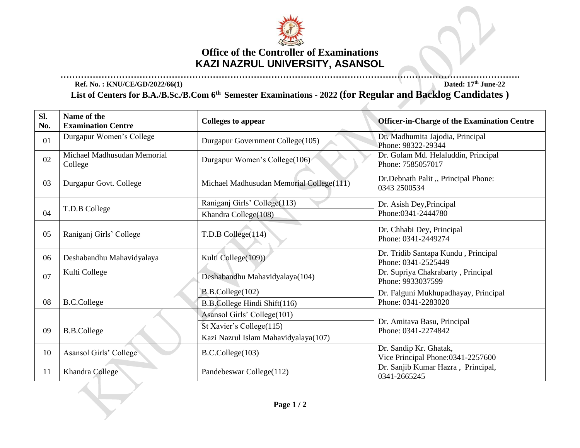

## **Office of the Controller of Examinations KAZI NAZRUL UNIVERSITY, ASANSOL**

**…………………………………………………………………………………………………………………………………………. Ref. No. : KNU/CE/GD/2022/66(1) Dated: 17th June-22**

**List of Centers for B.A./B.Sc./B.Com 6 th Semester Examinations - 2022 (for Regular and Backlog Candidates )** 

A

| Sl.<br>No. | Name of the<br><b>Examination Centre</b> | Colleges to appear                       | <b>Officer-in-Charge of the Examination Centre</b>           |
|------------|------------------------------------------|------------------------------------------|--------------------------------------------------------------|
| 01         | Durgapur Women's College                 | Durgapur Government College(105)         | Dr. Madhumita Jajodia, Principal<br>Phone: 98322-29344       |
| 02         | Michael Madhusudan Memorial<br>College   | Durgapur Women's College(106)            | Dr. Golam Md. Helaluddin, Principal<br>Phone: 7585057017     |
| 03         | Durgapur Govt. College                   | Michael Madhusudan Memorial College(111) | Dr.Debnath Palit, Principal Phone:<br>0343 2500534           |
|            |                                          | Raniganj Girls' College(113)             | Dr. Asish Dey, Principal                                     |
| 04         | T.D.B College                            | Khandra College(108)                     | Phone: 0341-2444780                                          |
| 05         | Raniganj Girls' College                  | T.D.B College(114)                       | Dr. Chhabi Dey, Principal<br>Phone: 0341-2449274             |
| 06         | Deshabandhu Mahavidyalaya                | Kulti College(109))                      | Dr. Tridib Santapa Kundu, Principal<br>Phone: 0341-2525449   |
| 07         | Kulti College                            | Deshabandhu Mahavidyalaya(104)           | Dr. Supriya Chakrabarty, Principal<br>Phone: 9933037599      |
|            |                                          | B.B.College(102)                         | Dr. Falguni Mukhupadhayay, Principal                         |
| 08         | <b>B.C.College</b>                       | B.B.College Hindi Shift(116)             | Phone: 0341-2283020                                          |
|            |                                          | Asansol Girls' College(101)              |                                                              |
| 09         | <b>B.B.College</b>                       | St Xavier's College(115)                 | Dr. Amitava Basu, Principal<br>Phone: 0341-2274842           |
|            |                                          | Kazi Nazrul Islam Mahavidyalaya(107)     |                                                              |
| 10         | Asansol Girls' College                   | B.C.College(103)                         | Dr. Sandip Kr. Ghatak,<br>Vice Principal Phone: 0341-2257600 |
| 11         | Khandra College                          | Pandebeswar College(112)                 | Dr. Sanjib Kumar Hazra, Principal,<br>0341-2665245           |